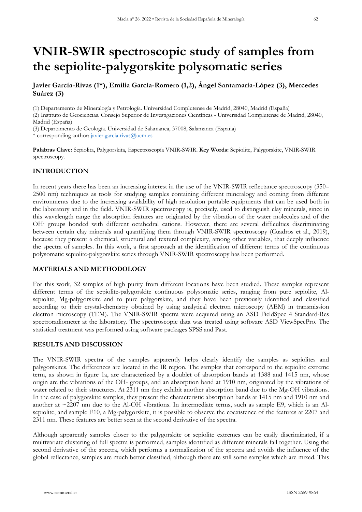# **VNIR-SWIR spectroscopic study of samples from the sepiolite-palygorskite polysomatic series**

# **Javier García-Rivas (1\*), Emilia García-Romero (1,2), Ángel Santamaría-López (3), Mercedes Suárez (3)**

(1) Departamento de Mineralogía y Petrología. Universidad Complutense de Madrid, 28040, Madrid (España)

(2) Instituto de Geociencias. Consejo Superior de Investigaciones Científicas - Universidad Complutense de Madrid, 28040, Madrid (España)

(3) Departamento de Geología. Universidad de Salamanca, 37008, Salamanca (España)

\* corresponding author: [javier.garcia.rivas@ucm.es](mailto:javier.garcia.rivas@ucm.es)

**Palabras Clave:** Sepiolita, Palygorskita, Espectroscopía VNIR-SWIR. **Key Words:** Sepiolite, Palygorskite, VNIR-SWIR spectroscopy.

# **INTRODUCTION**

In recent years there has been an increasing interest in the use of the VNIR-SWIR reflectance spectroscopy (350– 2500 nm) techniques as tools for studying samples containing different mineralogy and coming from different environments due to the increasing availability of high resolution portable equipments that can be used both in the laboratory and in the field. VNIR-SWIR spectroscopy is, precisely, used to distinguish clay minerals, since in this wavelength range the absorption features are originated by the vibration of the water molecules and of the OH- groups bonded with different octahedral cations. However, there are several difficulties discriminating between certain clay minerals and quantifying them through VNIR-SWIR spectroscopy (Cuadros et al., 2019), because they present a chemical, structural and textural complexity, among other variables, that deeply influence the spectra of samples. In this work, a first approach at the identification of different terms of the continuous polysomatic sepiolite-palygorskite series through VNIR-SWIR spectroscopy has been performed.

# **MATERIALS AND METHODOLOGY**

For this work, 32 samples of high purity from different locations have been studied. These samples represent different terms of the sepiolite-palygorskite continuous polysomatic series, ranging from pure sepiolite, Alsepiolite, Mg-palygorskite and to pure palygorskite, and they have been previously identified and classified according to their crystal-chemistry obtained by using analytical electron microscopy (AEM) in transmission electron microscopy (TEM). The VNIR-SWIR spectra were acquired using an ASD FieldSpec 4 Standard-Res spectroradiometer at the laboratory. The spectroscopic data was treated using software ASD ViewSpecPro. The statistical treatment was performed using software packages SPSS and Past.

#### **RESULTS AND DISCUSSION**

The VNIR-SWIR spectra of the samples apparently helps clearly identify the samples as sepiolites and palygorskites. The differences are located in the IR region. The samples that correspond to the sepiolite extreme term, as shown in figure 1a, are characterized by a doublet of absorption bands at 1388 and 1415 nm, whose origin are the vibrations of the OH- groups, and an absorption band at 1910 nm, originated by the vibrations of water related to their structures. At 2311 nm they exhibit another absorption band due to the Mg-OH vibrations. In the case of palygorskite samples, they present the characteristic absorption bands at 1415 nm and 1910 nm and another at  $\sim$ 2207 nm due to the Al-OH vibrations. In intermediate terms, such as sample E9, which is an Alsepiolite, and sample E10, a Mg-palygorskite, it is possible to observe the coexistence of the features at 2207 and 2311 nm. These features are better seen at the second derivative of the spectra.

Although apparently samples closer to the palygorskite or sepiolite extremes can be easily discriminated, if a multivariate clustering of full spectra is performed, samples identified as different minerals fall together. Using the second derivative of the spectra, which performs a normalization of the spectra and avoids the influence of the global reflectance, samples are much better classified, although there are still some samples which are mixed. This